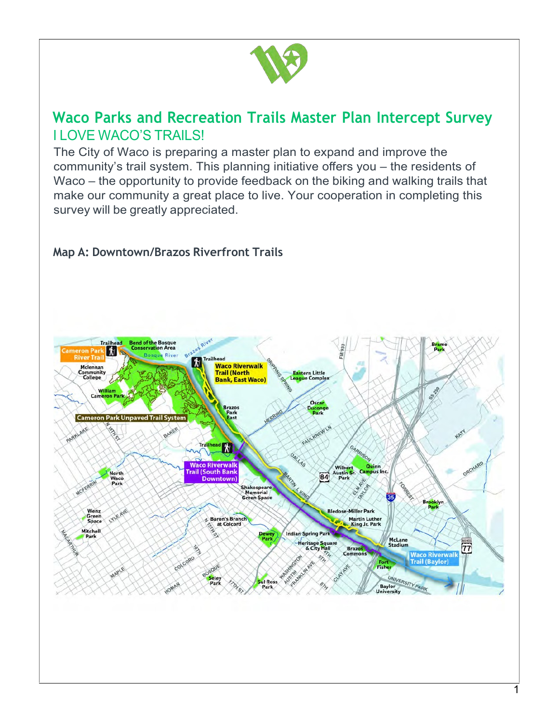

## **Waco Parks and Recreation Trails Master Plan Intercept Survey** I LOVE WACO'S TRAILS!

The City of Waco is preparing a master plan to expand and improve the community's trail system. This planning initiative offers you – the residents of Waco – the opportunity to provide feedback on the biking and walking trails that make our community a great place to live. Your cooperation in completing this survey will be greatly appreciated.



## **Map A: Downtown/Brazos Riverfront Trails**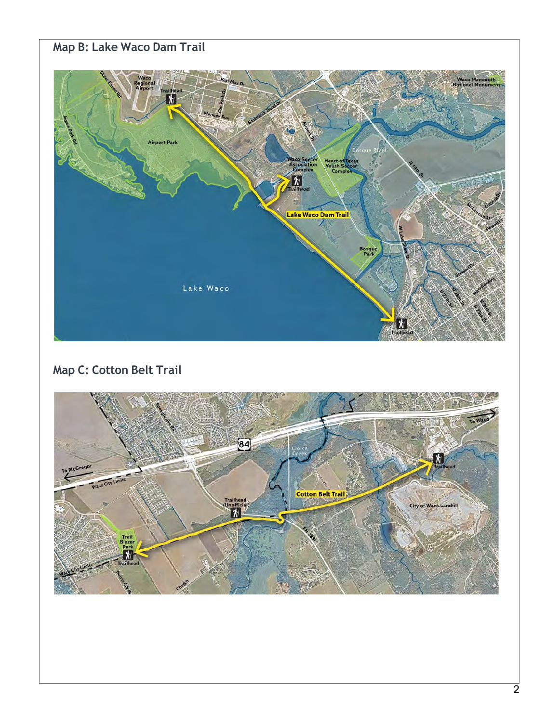## **Map B: Lake Waco Dam Trail**



## **Map C: Cotton Belt Trail**

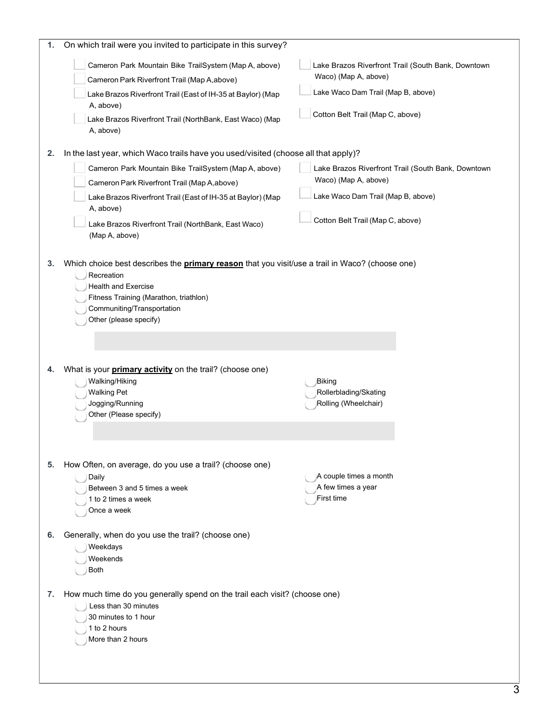| 1. | On which trail were you invited to participate in this survey?                                                                                                                                                                                                                                                                                  |                                                                                                                                                      |
|----|-------------------------------------------------------------------------------------------------------------------------------------------------------------------------------------------------------------------------------------------------------------------------------------------------------------------------------------------------|------------------------------------------------------------------------------------------------------------------------------------------------------|
| 2. | Cameron Park Mountain Bike TrailSystem (Map A, above)<br>Cameron Park Riverfront Trail (Map A,above)<br>Lake Brazos Riverfront Trail (East of IH-35 at Baylor) (Map<br>A, above)<br>Lake Brazos Riverfront Trail (NorthBank, East Waco) (Map<br>A, above)<br>In the last year, which Waco trails have you used/visited (choose all that apply)? | Lake Brazos Riverfront Trail (South Bank, Downtown<br>Waco) (Map A, above)<br>Lake Waco Dam Trail (Map B, above)<br>Cotton Belt Trail (Map C, above) |
|    | Cameron Park Mountain Bike TrailSystem (Map A, above)<br>Cameron Park Riverfront Trail (Map A,above)<br>Lake Brazos Riverfront Trail (East of IH-35 at Baylor) (Map<br>A, above)<br>Lake Brazos Riverfront Trail (NorthBank, East Waco)<br>(Map A, above)                                                                                       | Lake Brazos Riverfront Trail (South Bank, Downtown<br>Waco) (Map A, above)<br>Lake Waco Dam Trail (Map B, above)<br>Cotton Belt Trail (Map C, above) |
| 3. | Which choice best describes the <b>primary reason</b> that you visit/use a trail in Waco? (choose one)<br>Recreation<br><b>Health and Exercise</b><br>Fitness Training (Marathon, triathlon)<br>Communiting/Transportation<br>Other (please specify)                                                                                            |                                                                                                                                                      |
| 4. | What is your <i>primary activity</i> on the trail? (choose one)<br>Walking/Hiking<br><b>Walking Pet</b><br>Jogging/Running<br>Other (Please specify)                                                                                                                                                                                            | Biking<br>Rollerblading/Skating<br>Rolling (Wheelchair)                                                                                              |
| 5. | How Often, on average, do you use a trail? (choose one)<br>Daily<br>Between 3 and 5 times a week<br>1 to 2 times a week<br>Once a week                                                                                                                                                                                                          | A couple times a month<br>A few times a year<br>First time                                                                                           |
| 6. | Generally, when do you use the trail? (choose one)<br>Weekdays<br>Weekends<br><b>Both</b>                                                                                                                                                                                                                                                       |                                                                                                                                                      |
| 7. | How much time do you generally spend on the trail each visit? (choose one)<br>Less than 30 minutes<br>30 minutes to 1 hour<br>1 to 2 hours<br>More than 2 hours                                                                                                                                                                                 |                                                                                                                                                      |